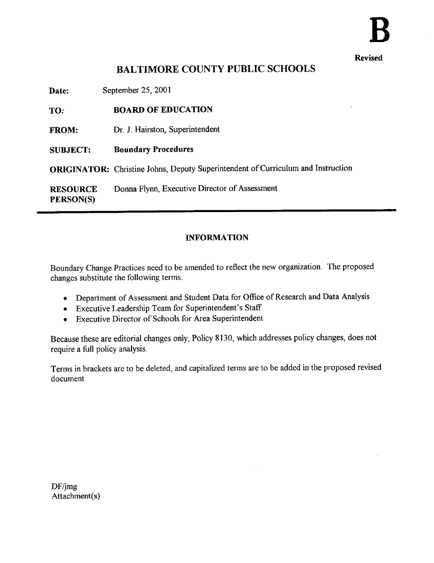Revised

# BALTIMORE COUNTY PUBLIC SCHOOLS

| Date:                        | September 25, 2001                                                                      |
|------------------------------|-----------------------------------------------------------------------------------------|
| TO:                          | <b>BOARD OF EDUCATION</b>                                                               |
| <b>FROM:</b>                 | Dr. J. Hairston, Superintendent                                                         |
| <b>SUBJECT:</b>              | <b>Boundary Procedures</b>                                                              |
|                              | <b>ORIGINATOR:</b> Christine Johns, Deputy Superintendent of Curriculum and Instruction |
| <b>RESOURCE</b><br>PERSON(S) | Donna Flynn, Executive Director of Assessment                                           |

#### INFORMATION

Boundary Change Practices need to be amended to reflect the new organization . The proposed changes substitute the following terms:

- Department of Assessment and Student Data for Office of Research and Data Analysis
- Executive Leadership Team for Superintendent's Staff
- Executive Director of Schools for Area Superintendent

Because these are editorial changes only, Policy 8130, which addresses policy changes, does not require a full policy analysis.

Terms in brackets are to be deleted, and capitalized terms are to be added in the proposed revised document

 $DF/$ jmg Attachment(s)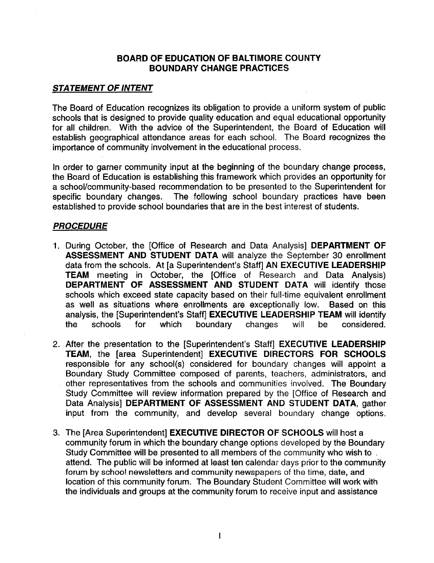## BOARD OF EDUCATION OF BALTIMORE COUNTY BOUNDARY CHANGE PRACTICES

### **STATEMENT OF INTENT**

The Board of Education recognizes its obligation to provide a uniform system of public schools that is designed to provide quality education and equal educational opportunity for all children. With the advice of the Superintendent, the Board of Education will establish geographical attendance areas for each school. The Board recognizes the importance of community involvement in the educational process .

In order to garner community input at the beginning of the boundary change process, the Board of Education is establishing this framework which provides an opportunity for a school/community-based recommendation to be presented to the Superintendent for specific boundary changes. The following school boundary practices have been The following school boundary practices have been established to provide school boundaries that are in the best interest of students.

## **PROCEDURE**

- 1. During October, the [Office of Research and Data Analysis] DEPARTMENT OF ASSESSMENT AND STUDENT DATA will analyze the September 30 enrollment data from the schools. At [a Superintendent's Staff] AN EXECUTIVE LEADERSHIP TEAM meeting in October, the [Office of Research and Data Analysis) DEPARTMENT OF ASSESSMENT AND STUDENT DATA will identify those schools which exceed state capacity based on their full-time equivalent enrollment as well as situations where enrollments are exceptionally low. Based on this as well as situations where enrollments are exceptionally low. analysis, the [Superintendent's Staff] **EXECUTIVE LEADERSHIP TEAM** will identify the schools for which boundary changes will be considered. the schools for which boundary changes will be considered.
- 2. After the presentation to the [Superintendent's Staff] EXECUTIVE LEADERSHIP TEAM, the [area Superintendent] EXECUTIVE DIRECTORS FOR SCHOOLS responsible for any school(s) considered for boundary changes will appoint a Boundary Study Committee composed of parents, teachers, administrators, and other representatives from the schools and communities involved. The Boundary Study Committee will review information prepared by the [Office of Research and Data Analysis] DEPARTMENT OF ASSESSMENT AND STUDENT DATA, gather input from the community, and develop several boundary change options.
- 3. The [Area Superintendent] EXECUTIVE DIRECTOR OF SCHOOLS will host a community forum in which the boundary change options developed by the Boundary Study Committee will be presented to all members of the community who wish to . attend. The public will be informed at least ten calendar days prior to the community forum by school newsletters and community newspapers of the time, date, and location of this community forum. The Boundary Student Committee will work with the individuals and groups at the community forum to receive input and assistance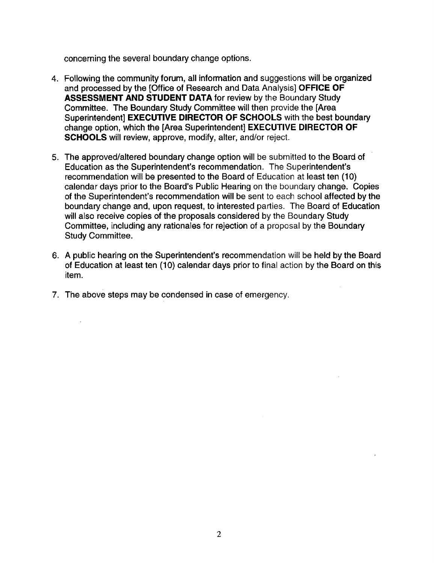concerning the several boundary change options .

- 4. Following the community forum, all information and suggestions will be organized and processed by the [Office of Research and Data Analysis] OFFICE OF ASSESSMENT AND STUDENT DATA for review by the Boundary Study Committee. The Boundary Study Committee will then provide the [Area Superintendent] EXECUTIVE DIRECTOR OF SCHOOLS with the best boundary change option, which the [Area Superintendent] EXECUTIVE DIRECTOR OF SCHOOLS will review, approve, modify, alter, and/or reject.
- 5 . The approved/altered boundary change option will be submitted to the Board of Education as the Superintendent's recommendation . The Superintendent's recommendation will be presented to the Board of Education at least ten (10) calendar days prior to the Board's Public Hearing on the boundary change. Copies of the Superintendent's recommendation will be sent to each school affected by the boundary change and, upon request, to interested parties . The Board of Education will also receive copies of the proposals considered by the Boundary Study Committee, including any rationales for rejection of a proposal by the Boundary Study Committee.
- 6. A public hearing on the Superintendent's recommendation will be held by the Board of Education at least ten (10) calendar days prior to final action by the Board on this item.
- 7. The above steps may be condensed in case of emergency.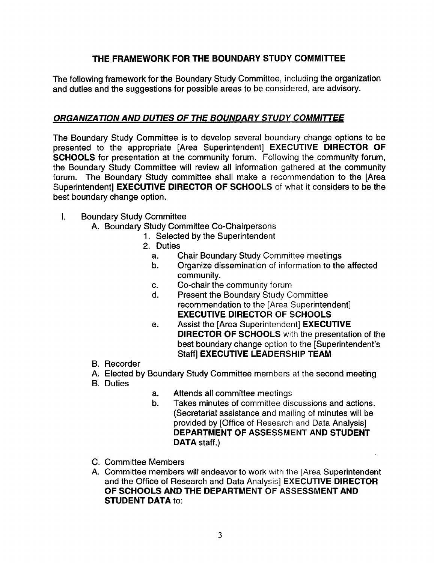# THE FRAMEWORK FOR THE BOUNDARY STUDY COMMITTEE

The following framework for the Boundary Study Committee, including the organization and duties and the suggestions for possible areas to be considered, are advisory.

## ORGANIZATION AND DUTIES OF THE BOUNDARY STUDY COMMITTEE

The Boundary Study Committee is to develop several boundary change options to be presented to the appropriate [Area Superintendent] EXECUTIVE DIRECTOR OF SCHOOLS for presentation at the community forum. Following the community forum, the Boundary Study Committee will review all information gathered at the community forum. The Boundary Study committee shall make a recommendation to the [Area Superintendent] EXECUTIVE DIRECTOR OF SCHOOLS of what it considers to be the best boundary change option.

## I. Boundary Study Committee

- A. Boundary Study Committee Co-Chairpersons
	- 1. Selected by the Superintendent
	- 2. Duties<br>2. a. C
		- a. Chair Boundary Study Committee meetings<br>b. Crganize dissemination of information to the
		- Organize dissemination of information to the affected community.
		- c. Co-chair the community forum<br>d. Present the Boundary Study Co
		- Present the Boundary Study Committee recommendation to the [Area Superintendent] EXECUTIVE DIRECTOR OF SCHOOLS
		- e. Assist the [Area Superintendent] EXECUTIVE DIRECTOR OF SCHOOLS with the presentation of the best boundary change option to the [Superintendent's Staff] EXECUTIVE LEADERSHIP TEAM
- B. Recorder
- A. Elected by Boundary Study Committee members at the second meeting
- B. Duties
- a. Attends all committee meetings<br>b. Takes minutes of committee dis
- Takes minutes of committee discussions and actions. (Secretarial assistance and mailing of minutes will be provided by [Office of Research and Data Analysis] DEPARTMENT OF ASSESSMENT AND STUDENT DATA staff.)
- C. Committee Members
- A. Committee members will endeavor to work with the [Area Superintendent and the Office of Research and Data Analysis] EXECUTIVE DIRECTOR OF SCHOOLS AND THE DEPARTMENT OF ASSESSMENT AND STUDENT DATA to: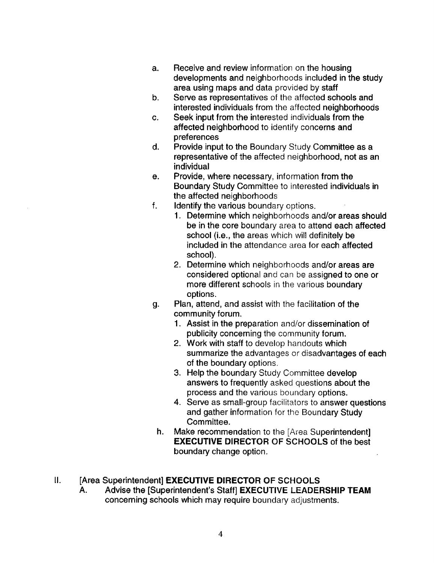- a. Receive and review information on the housing developments and neighborhoods included in the study area using maps and data provided by staff
- b. Serve as representatives of the affected schools and interested individuals from the affected neighborhoods
- c. Seek input from the interested individuals from the affected neighborhood to identify concerns and preferences
- d. Provide input to the Boundary Study Committee as a representative of the affected neighborhood, not as an individual
- e. Provide, where necessary, information from the Boundary Study Committee to interested individuals in the affected neighborhoods
- f. **Identify the various boundary options.** 
	- 1. Determine which neighborhoods and/or areas should be in the core boundary area to attend each affected school (i.e., the areas which will definitely be included in the attendance area for each affected school).
	- 2. Determine which neighborhoods and/or areas are considered optional and can be assigned to one or more different schools in the various boundary options .
- g. Plan, attend, and assist with the facilitation of the community forum.
	- 1. Assist in the preparation and/or dissemination of publicity concerning the community forum.
	- 2. Work with staff to develop handouts which summarize the advantages or disadvantages of each of the boundary options .
	- 3. Help the boundary Study Committee develop answers to frequently asked questions about the process and the various boundary options.
	- 4. Serve as small-group facilitators to answer questions and gather information for the Boundary Study Committee.
- h. Make recommendation to the [Area Superintendent] EXECUTIVE DIRECTOR OF SCHOOLS of the best boundary change option.

# II. [Area Superintendent] **EXECUTIVE DIRECTOR OF SCHOOLS**<br>A. Advise the ISuperintendent's Staffl EXECUTIVE LEADER

Advise the [Superintendent's Staff] EXECUTIVE LEADERSHIP TEAM concerning schools which may require boundary adjustments .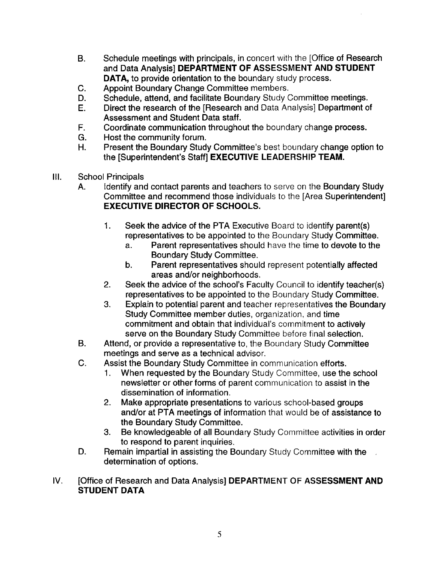- B. Schedule meetings with principals, in concert with the [Office of Research and Data Analysis] DEPARTMENT OF ASSESSMENT AND STUDENT DATA, to provide orientation to the boundary study process.
- C. Appoint Boundary Change Committee members.<br>D. Schedule, attend, and facilitate Boundary Study (
- D. Schedule, attend, and facilitate Boundary Study Committee meetings.<br>E. Direct the research of the [Research and Data Analysis] Department o
- Direct the research of the [Research and Data Analysis] Department of Assessment and Student Data staff.
- F. Coordinate communication throughout the boundary change process.<br>G. Host the community forum.
- G. Host the community forum.<br>H. Present the Boundary Study
- Present the Boundary Study Committee's best boundary change option to the [Superintendent's Staff] EXECUTIVE LEADERSHIP TEAM.
- III. School Principals<br>A. Identify and
	- Identify and contact parents and teachers to serve on the Boundary Study Committee and recommend those individuals to the [Area Superintendent] EXECUTIVE DIRECTOR OF SCHOOLS.
		- 1. Seek the advice of the PTA Executive Board to identify parent(s) representatives to be appointed to the Boundary Study Committee.<br>a. Parent representatives should have the time to devote to the
			- Parent representatives should have the time to devote to the Boundary Study Committee.
			- b. Parent representatives should represent potentially affected areas and/or neighborhoods .
		- 2. Seek the advice of the school's Faculty Council to identify teacher(s) representatives to be appointed to the Boundary Study Committee.
		- 3. Explain to potential parent and teacher representatives the Boundary Study Committee member duties, organization, and time commitment and obtain that individual's commitment to actively serve on the Boundary Study Committee before final selection.
	- B. Attend, or provide a representative to, the Boundary Study Committee meetings and serve as a technical advisor.
	- C. Assist the Boundary Study Committee in communication efforts.<br>1. When requested by the Boundary Study Committee, use the
		- When requested by the Boundary Study Committee, use the school newsletter or other forms of parent communication to assist in the dissemination of information.
		- 2. Make appropriate presentations to various school-based groups and/or at PTA meetings of information that would be of assistance to the Boundary Study Committee .
		- 3. Be knowledgeable of all Boundary Study Committee activities in order to respond to parent inquiries.
	- D. Remain impartial in assisting the Boundary Study Committee with the determination of options.
- IV. **[Office of Research and Data Analysis] DEPARTMENT OF ASSESSMENT AND** STUDENT DATA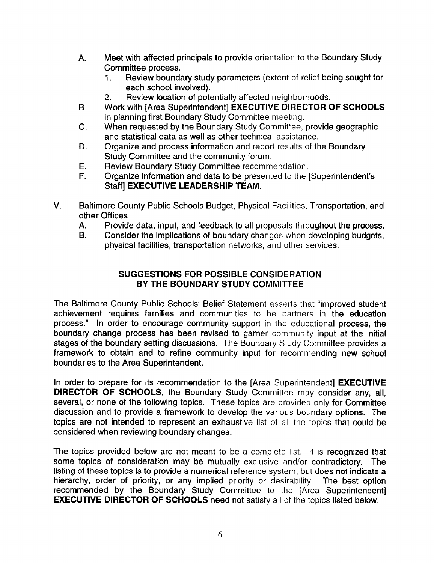- A. Meet with affected principals to provide orientation to the Boundary Study Committee process .
	- Review boundary study parameters (extent of relief being sought for each school involved).
	- 2. Review location of potentially affected neighborhoods.
- B Work with [Area Superintendent] EXECUTIVE DIRECTOR OF SCHOOLS in planning first Boundary Study Committee meeting.
- C. When requested by the Boundary Study Committee, provide geographic and statistical data as well as other technical assistance .
- D. Organize and process information and report results of the Boundary Study Committee and the community forum.
- E. Review Boundary Study Committee recommendation.<br>F. Craanize information and data to be presented to the f
- Organize information and data to be presented to the [Superintendent's Staff] EXECUTIVE LEADERSHIP TEAM.
- V. Baltimore County Public Schools Budget, Physical Facilities, Transportation, and other Offices
	- A. Provide data, input, and feedback to all proposals throughout the process.<br>B. Consider the implications of boundary changes when developing budgets.
	- Consider the implications of boundary changes when developing budgets, physical facilities, transportation networks, and other services.

## SUGGESTIONS FOR POSSIBLE CONSIDERATION BY THE BOUNDARY STUDY COMMITTEE

The Baltimore County Public Schools' Belief Statement asserts that "improved student achievement requires families and communities to be partners in the education process ." In order to encourage community support in the educational process, the boundary change process has been revised to garner community input at the initial stages of the boundary setting discussions. The Boundary Study Committee provides a framework to obtain and to refine community input for recommending new school boundaries to the Area Superintendent.

In order to prepare for its recommendation to the [Area Superintendent] **EXECUTIVE** DIRECTOR OF SCHOOLS, the Boundary Study Committee may consider any, all, several, or none of the following topics. These topics are provided only for Committee discussion and to provide a framework to develop the various boundary options. The topics are not intended to represent an exhaustive list of all the topics that could be considered when reviewing boundary changes.

The topics provided below are not meant to be a complete list. It is recognized that some topics of consideration may be mutually exclusive and/or contradictory. The listing of these topics is to provide a numerical reference system, but does not indicate a hierarchy, order of priority, or any implied priority or desirability. The best option recommended by the Boundary Study Committee to the [Area Superintendent] EXECUTIVE DIRECTOR OF SCHOOLS need not satisfy ail of the topics listed below.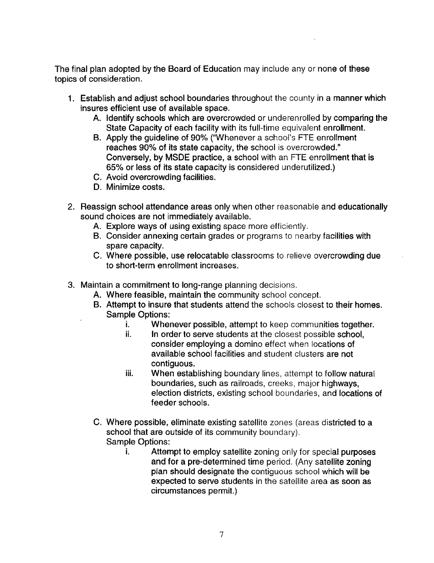The final plan adopted by the Board of Education may include any or none of these topics of consideration.

- 1. Establish and adjust school boundaries throughout the county in a manner which insures efficient use of available space .
	- A. Identify schools which are overcrowded or underenrolled by comparing the State Capacity of each facility with its full-time equivalent enrollment.
	- B. Apply the guideline of 90% ("Whenever a school's FTE enrollment reaches 90% of its state capacity, the school is overcrowded ." Conversely, by MSDE practice, a school with an FTE enrollment that is 65% or less of its state capacity is considered underutilized .)
	- C. Avoid overcrowding facilities .
	- D. Minimize costs.
- 2. Reassign school attendance areas only when other reasonable and educationally sound choices are not immediately available.
	- A. Explore ways of using existing space more efficiently.
	- B. Consider annexing certain grades or programs to nearby facilities with spare capacity.
	- C. Where possible, use relocatable classrooms to relieve overcrowding due to short-term enrollment increases.
- 3. Maintain a commitment to long-range planning decisions .
	- A. Where feasible, maintain the community school concept.
	- B. Attempt to insure that students attend the schools closest to their homes. Sample Options:<br>i. When
		- i. Whenever possible, attempt to keep communities together.<br>ii.  $\qquad$  In order to serve students at the closest possible school.
		- in order to serve students at the closest possible school, consider employing a domino effect when locations of available school facilities and student clusters are not contiguous,
		- iii. When establishing boundary lines, attempt to follow natural boundaries, such as railroads, creeks, major highways, election districts, existing school boundaries, and locations of feeder schools.
	- C. Where possible, eliminate existing satellite zones (areas districted to a school that are outside of its community boundary). Sample Options:
		- Attempt to employ satellite zoning only for special purposes and for a pre-determined time period. (Any satellite zoning plan should designate the contiguous school which will be expected to serve students in the satellite area as soon as circumstances permit.)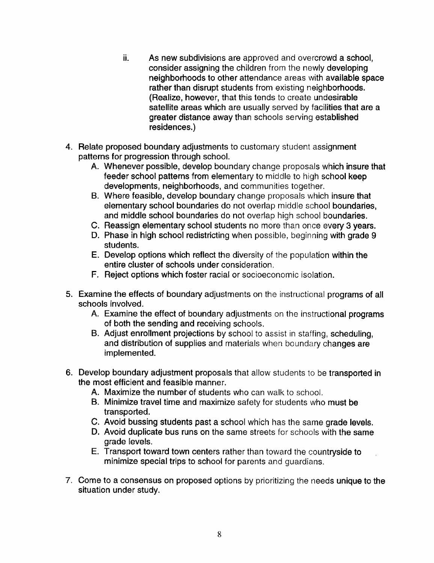- ii. As new subdivisions are approved and overcrowd a school, consider assigning the children from the newly developing neighborhoods to other attendance areas with available space rather than disrupt students from existing neighborhoods. (Realize, however, that this tends to create undesirable satellite areas which are usually served by facilities that are a greater distance away than schools serving established residences.)
- 4. Relate proposed boundary adjustments to customary student assignment patterns for progression through school.
	- A. Whenever possible, develop boundary change proposals which insure that feeder school patterns from elementary to middle to high school keep developments, neighborhoods, and communities together.
	- B. Where feasible, develop boundary change proposals which insure that elementary school boundaries do not overlap middle school boundaries, and middle school boundaries do not overlap high school boundaries.
	- C. Reassign elementary school students no more than once every 3 years.
	- D. Phase in high school redistricting when possible, beginning with grade 9 students.
	- E. Develop options which reflect the diversity of the population within the entire cluster of schools under consideration .
	- F. Reject options which foster racial or socioeconomic isolation.
- 5 . Examine the effects of boundary adjustments on the instructional programs of all schools involved.
	- A. Examine the effect of boundary adjustments on the instructional programs of both the sending and receiving schools .
	- B. Adjust enrollment projections by school to assist in staffing, scheduling, and distribution of supplies and materials when boundary changes are implemented.
- 6 . Develop boundary adjustment proposals that allow students to be transported in the most efficient and feasible manner.
	- A. Maximize the number of students who can walk to school.
	- B. Minimize travel time and maximize safety for students who must be transported.
	- C. Avoid bussing students past a school which has the same grade levels.
	- D. Avoid duplicate bus runs on the same streets for schools with the same grade levels.
	- E. Transport toward town centers rather than toward the countryside to minimize special trips to school for parents and quardians.
- 7 . Come to a consensus on proposed options by prioritizing the needs unique to the situation under study.